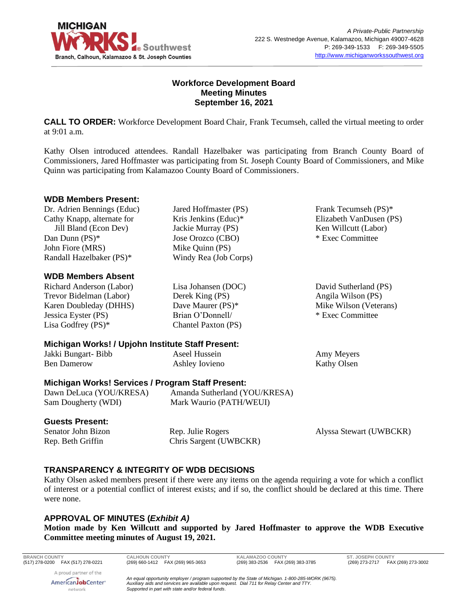

### **Workforce Development Board Meeting Minutes September 16, 2021**

**CALL TO ORDER:** Workforce Development Board Chair, Frank Tecumseh, called the virtual meeting to order at 9:01 a.m.

Kathy Olsen introduced attendees. Randall Hazelbaker was participating from Branch County Board of Commissioners, Jared Hoffmaster was participating from St. Joseph County Board of Commissioners, and Mike Quinn was participating from Kalamazoo County Board of Commissioners.

### **WDB Members Present:**

Dr. Adrien Bennings (Educ) Cathy Knapp, alternate for Jill Bland (Econ Dev) Dan Dunn (PS)\* John Fiore (MRS) Randall Hazelbaker (PS)\*

## **WDB Members Absent**

Richard Anderson (Labor) Trevor Bidelman (Labor) Karen Doubleday (DHHS) Jessica Eyster (PS) Lisa Godfrey (PS)\*

Kris Jenkins (Educ)\* Jackie Murray (PS) Jose Orozco (CBO) Mike Quinn (PS) Windy Rea (Job Corps)

Jared Hoffmaster (PS)

Lisa Johansen (DOC) Derek King (PS) Dave Maurer (PS)\* Brian O'Donnell/ Chantel Paxton (PS)

## **Michigan Works! / Upjohn Institute Staff Present:**

Jakki Bungart- Bibb Ben Damerow

Aseel Hussein Ashley Iovieno

Angila Wilson (PS) Mike Wilson (Veterans) \* Exec Committee

David Sutherland (PS)

Frank Tecumseh (PS)\* Elizabeth VanDusen (PS) Ken Willcutt (Labor) \* Exec Committee

Amy Meyers Kathy Olsen

## **Michigan Works! Services / Program Staff Present:**

Dawn DeLuca (YOU/KRESA) Sam Dougherty (WDI)

Amanda Sutherland (YOU/KRESA) Mark Waurio (PATH/WEUI)

#### **Guests Present:**

Senator John Bizon Rep. Beth Griffin

Rep. Julie Rogers Chris Sargent (UWBCKR) Alyssa Stewart (UWBCKR)

## **TRANSPARENCY & INTEGRITY OF WDB DECISIONS**

Kathy Olsen asked members present if there were any items on the agenda requiring a vote for which a conflict of interest or a potential conflict of interest exists; and if so, the conflict should be declared at this time. There were none.

## **APPROVAL OF MINUTES (***Exhibit A)*

**Motion made by Ken Willcutt and supported by Jared Hoffmaster to approve the WDB Executive Committee meeting minutes of August 19, 2021.**

**BRANCH COUNTY CALHOUN COUNTY KALAMAZOO COUNTY ST. JOSEPH COUNTY**

(269) 273-2717 FAX (269) 273-3002

A proud partner of the AmericanJobCenter\* network

*An equal opportunity employer / program supported by the State of Michigan. 1-800-285-WORK (9675). Auxiliary aids and services are available upon request. Dial 711 for Relay Center and TTY. Supported in part with state and/or federal funds.*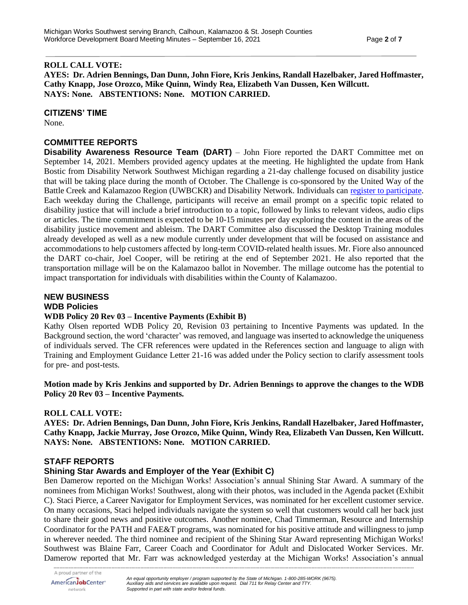#### **ROLL CALL VOTE:**

**AYES: Dr. Adrien Bennings, Dan Dunn, John Fiore, Kris Jenkins, Randall Hazelbaker, Jared Hoffmaster, Cathy Knapp, Jose Orozco, Mike Quinn, Windy Rea, Elizabeth Van Dussen, Ken Willcutt. NAYS: None. ABSTENTIONS: None. MOTION CARRIED.**

#### **CITIZENS' TIME**

None.

### **COMMITTEE REPORTS**

**Disability Awareness Resource Team (DART)** – John Fiore reported the DART Committee met on September 14, 2021. Members provided agency updates at the meeting. He highlighted the update from Hank Bostic from Disability Network Southwest Michigan regarding a 21-day challenge focused on disability justice that will be taking place during the month of October. The Challenge is co-sponsored by the United Way of the Battle Creek and Kalamazoo Region (UWBCKR) and Disability Network. Individuals can [register to participate.](https://portal.gkuw.org/comm/AndarTrack.jsp?A=367546736E476A573A4E7E3E&AR=2D4B22534C39366123387E3E&OA=6A5E687535633E2852657E3E&U=272A3775222C517068537E3E&UA=&F=https%3A%2F%2Fportal.gkuw.org%2F%2Fservlet%2FeAndar.article%2F320%2F) Each weekday during the Challenge, participants will receive an email prompt on a specific topic related to disability justice that will include a brief introduction to a topic, followed by links to relevant videos, audio clips or articles. The time commitment is expected to be 10-15 minutes per day exploring the content in the areas of the disability justice movement and ableism. The DART Committee also discussed the Desktop Training modules already developed as well as a new module currently under development that will be focused on assistance and accommodations to help customers affected by long-term COVID-related health issues. Mr. Fiore also announced the DART co-chair, Joel Cooper, will be retiring at the end of September 2021. He also reported that the transportation millage will be on the Kalamazoo ballot in November. The millage outcome has the potential to impact transportation for individuals with disabilities within the County of Kalamazoo.

### **NEW BUSINESS WDB Policies**

#### **WDB Policy 20 Rev 03 – Incentive Payments (Exhibit B)**

Kathy Olsen reported WDB Policy 20, Revision 03 pertaining to Incentive Payments was updated. In the Background section, the word 'character' was removed, and language was inserted to acknowledge the uniqueness of individuals served. The CFR references were updated in the References section and language to align with Training and Employment Guidance Letter 21-16 was added under the Policy section to clarify assessment tools for pre- and post-tests.

**Motion made by Kris Jenkins and supported by Dr. Adrien Bennings to approve the changes to the WDB Policy 20 Rev 03 – Incentive Payments.**

#### **ROLL CALL VOTE:**

**AYES: Dr. Adrien Bennings, Dan Dunn, John Fiore, Kris Jenkins, Randall Hazelbaker, Jared Hoffmaster, Cathy Knapp, Jackie Murray, Jose Orozco, Mike Quinn, Windy Rea, Elizabeth Van Dussen, Ken Willcutt. NAYS: None. ABSTENTIONS: None. MOTION CARRIED.**

#### **STAFF REPORTS**

## **Shining Star Awards and Employer of the Year (Exhibit C)**

Ben Damerow reported on the Michigan Works! Association's annual Shining Star Award. A summary of the nominees from Michigan Works! Southwest, along with their photos, was included in the Agenda packet (Exhibit C). Staci Pierce, a Career Navigator for Employment Services, was nominated for her excellent customer service. On many occasions, Staci helped individuals navigate the system so well that customers would call her back just to share their good news and positive outcomes. Another nominee, Chad Timmerman, Resource and Internship Coordinator for the PATH and FAE&T programs, was nominated for his positive attitude and willingness to jump in wherever needed. The third nominee and recipient of the Shining Star Award representing Michigan Works! Southwest was Blaine Farr, Career Coach and Coordinator for Adult and Dislocated Worker Services. Mr. Damerow reported that Mr. Farr was acknowledged yesterday at the Michigan Works! Association's annual

*--------------------------------------------------------------------------------------------------------------------------------------------------------------------------------------------------------------------------------------------*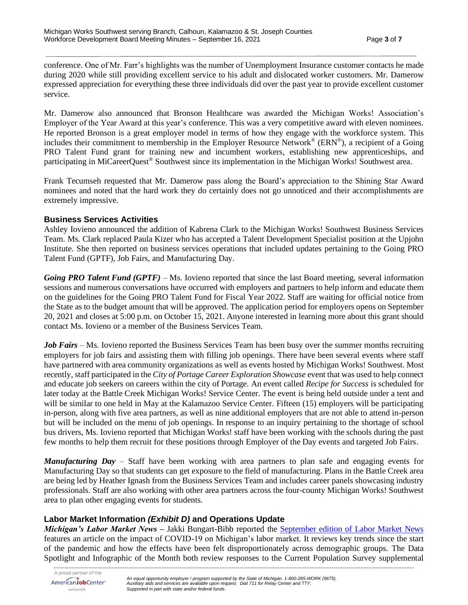conference. One of Mr. Farr's highlights was the number of Unemployment Insurance customer contacts he made during 2020 while still providing excellent service to his adult and dislocated worker customers. Mr. Damerow expressed appreciation for everything these three individuals did over the past year to provide excellent customer service.

Mr. Damerow also announced that Bronson Healthcare was awarded the Michigan Works! Association's Employer of the Year Award at this year's conference. This was a very competitive award with eleven nominees. He reported Bronson is a great employer model in terms of how they engage with the workforce system. This includes their commitment to membership in the Employer Resource Network<sup>®</sup> (ERN®), a recipient of a Going PRO Talent Fund grant for training new and incumbent workers, establishing new apprenticeships, and participating in MiCareerQuest® Southwest since its implementation in the Michigan Works! Southwest area.

Frank Tecumseh requested that Mr. Damerow pass along the Board's appreciation to the Shining Star Award nominees and noted that the hard work they do certainly does not go unnoticed and their accomplishments are extremely impressive.

### **Business Services Activities**

Ashley Iovieno announced the addition of Kabrena Clark to the Michigan Works! Southwest Business Services Team. Ms. Clark replaced Paula Kizer who has accepted a Talent Development Specialist position at the Upjohn Institute. She then reported on business services operations that included updates pertaining to the Going PRO Talent Fund (GPTF), Job Fairs, and Manufacturing Day.

*Going PRO Talent Fund (GPTF)* – Ms. Iovieno reported that since the last Board meeting, several information sessions and numerous conversations have occurred with employers and partners to help inform and educate them on the guidelines for the Going PRO Talent Fund for Fiscal Year 2022. Staff are waiting for official notice from the State as to the budget amount that will be approved. The application period for employers opens on September 20, 2021 and closes at 5:00 p.m. on October 15, 2021. Anyone interested in learning more about this grant should contact Ms. Iovieno or a member of the Business Services Team.

*Job Fairs* – Ms. Iovieno reported the Business Services Team has been busy over the summer months recruiting employers for job fairs and assisting them with filling job openings. There have been several events where staff have partnered with area community organizations as well as events hosted by Michigan Works! Southwest. Most recently, staff participated in the *City of Portage Career Exploration Showcase* event that was used to help connect and educate job seekers on careers within the city of Portage. An event called *Recipe for Success* is scheduled for later today at the Battle Creek Michigan Works! Service Center. The event is being held outside under a tent and will be similar to one held in May at the Kalamazoo Service Center. Fifteen (15) employers will be participating in-person, along with five area partners, as well as nine additional employers that are not able to attend in-person but will be included on the menu of job openings. In response to an inquiry pertaining to the shortage of school bus drivers, Ms. Iovieno reported that Michigan Works! staff have been working with the schools during the past few months to help them recruit for these positions through Employer of the Day events and targeted Job Fairs.

*Manufacturing Day* – Staff have been working with area partners to plan safe and engaging events for Manufacturing Day so that students can get exposure to the field of manufacturing. Plans in the Battle Creek area are being led by Heather Ignash from the Business Services Team and includes career panels showcasing industry professionals. Staff are also working with other area partners across the four-county Michigan Works! Southwest area to plan other engaging events for students.

## **Labor Market Information** *(Exhibit D)* **and Operations Update**

*Michigan's Labor Market News* – Jakki Bungart-Bibb reported the **September edition of Labor Market News** features an article on the impact of COVID-19 on Michigan's labor market. It reviews key trends since the start of the pandemic and how the effects have been felt disproportionately across demographic groups. The Data Spotlight and Infographic of the Month both review responses to the Current Population Survey supplemental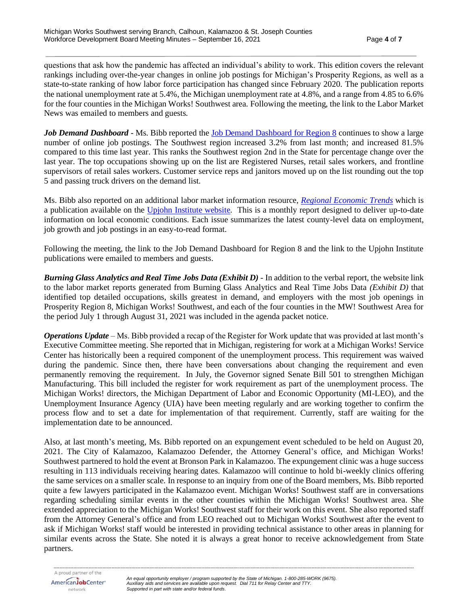questions that ask how the pandemic has affected an individual's ability to work. This edition covers the relevant rankings including over-the-year changes in online job postings for Michigan's Prosperity Regions, as well as a state-to-state ranking of how labor force participation has changed since February 2020. The publication reports the national unemployment rate at 5.4%, the Michigan unemployment rate at 4.8%, and a range from 4.85 to 6.6% for the four counties in the Michigan Works! Southwest area. Following the meeting, the link to the Labor Market News was emailed to members and guests.

*Job Demand Dashboard* - Ms. Bibb reported the [Job Demand Dashboard for Region 8](https://app.powerbigov.us/view?r=eyJrIjoiOTc1OWQ5OWItODVmYi00Y2IyLWExMjYtYjkzOTc0OWZlMTcwIiwidCI6ImQ1ZmI3MDg3LTM3NzctNDJhZC05NjZhLTg5MmVmNDcyMjVkMSJ9&pageName=ReportSection3ea51ac6802356c9f464) continues to show a large number of online job postings. The Southwest region increased 3.2% from last month; and increased 81.5% compared to this time last year. This ranks the Southwest region 2nd in the State for percentage change over the last year. The top occupations showing up on the list are Registered Nurses, retail sales workers, and frontline supervisors of retail sales workers. Customer service reps and janitors moved up on the list rounding out the top 5 and passing truck drivers on the demand list.

Ms. Bibb also reported on an additional labor market information resource, *[Regional Economic Trends](https://www.upjohn.org/sites/default/files/2021-09/RET_202109MWSW_0.pdf)* which is a publication available on the [Upjohn Institute website.](https://www.upjohn.org/sites/default/files/2021-09/RET_202109MWSW_0.pdf) This is a monthly report designed to deliver up-to-date information on local economic conditions. Each issue summarizes the latest county-level data on employment, job growth and job postings in an easy-to-read format.

Following the meeting, the link to the Job Demand Dashboard for Region 8 and the link to the Upjohn Institute publications were emailed to members and guests.

*Burning Glass Analytics and Real Time Jobs Data (Exhibit D) -* In addition to the verbal report, the website link to the labor market reports generated from Burning Glass Analytics and Real Time Jobs Data *(Exhibit D)* that identified top detailed occupations, skills greatest in demand, and employers with the most job openings in Prosperity Region 8, Michigan Works! Southwest, and each of the four counties in the MW! Southwest Area for the period July 1 through August 31, 2021 was included in the agenda packet notice.

*Operations Update* – Ms. Bibb provided a recap of the Register for Work update that was provided at last month's Executive Committee meeting. She reported that in Michigan, registering for work at a Michigan Works! Service Center has historically been a required component of the unemployment process. This requirement was waived during the pandemic. Since then, there have been conversations about changing the requirement and even permanently removing the requirement. In July, the Governor signed Senate Bill 501 to strengthen Michigan Manufacturing. This bill included the register for work requirement as part of the unemployment process. The Michigan Works! directors, the Michigan Department of Labor and Economic Opportunity (MI-LEO), and the Unemployment Insurance Agency (UIA) have been meeting regularly and are working together to confirm the process flow and to set a date for implementation of that requirement. Currently, staff are waiting for the implementation date to be announced.

Also, at last month's meeting, Ms. Bibb reported on an expungement event scheduled to be held on August 20, 2021. The City of Kalamazoo, Kalamazoo Defender, the Attorney General's office, and Michigan Works! Southwest partnered to hold the event at Bronson Park in Kalamazoo. The expungement clinic was a huge success resulting in 113 individuals receiving hearing dates. Kalamazoo will continue to hold bi-weekly clinics offering the same services on a smaller scale. In response to an inquiry from one of the Board members, Ms. Bibb reported quite a few lawyers participated in the Kalamazoo event. Michigan Works! Southwest staff are in conversations regarding scheduling similar events in the other counties within the Michigan Works! Southwest area. She extended appreciation to the Michigan Works! Southwest staff for their work on this event. She also reported staff from the Attorney General's office and from LEO reached out to Michigan Works! Southwest after the event to ask if Michigan Works! staff would be interested in providing technical assistance to other areas in planning for similar events across the State. She noted it is always a great honor to receive acknowledgement from State partners.

*--------------------------------------------------------------------------------------------------------------------------------------------------------------------------------------------------------------------------------------------*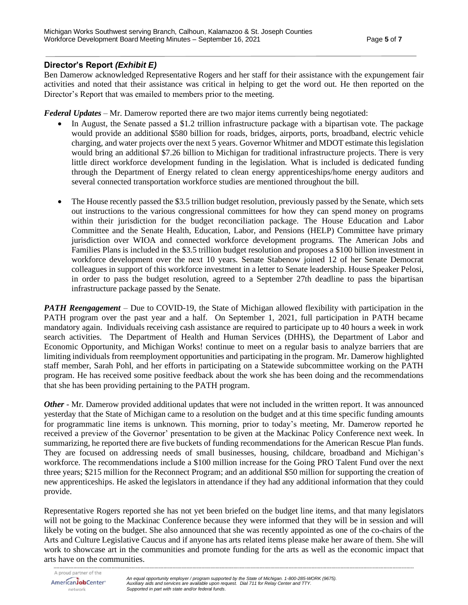# **Director's Report** *(Exhibit E)*

Ben Damerow acknowledged Representative Rogers and her staff for their assistance with the expungement fair activities and noted that their assistance was critical in helping to get the word out. He then reported on the Director's Report that was emailed to members prior to the meeting.

*Federal Updates* – Mr. Damerow reported there are two major items currently being negotiated:

- In August, the Senate passed a \$1.2 trillion infrastructure package with a bipartisan vote. The package would provide an additional \$580 billion for roads, bridges, airports, ports, broadband, electric vehicle charging, and water projects over the next 5 years. Governor Whitmer and MDOT estimate this legislation would bring an additional \$7.26 billion to Michigan for traditional infrastructure projects. There is very little direct workforce development funding in the legislation. What is included is dedicated funding through the Department of Energy related to clean energy apprenticeships/home energy auditors and several connected transportation workforce studies are mentioned throughout the bill.
- The House recently passed the \$3.5 trillion budget resolution, previously passed by the Senate, which sets out instructions to the various congressional committees for how they can spend money on programs within their jurisdiction for the budget reconciliation package. The House Education and Labor Committee and the Senate Health, Education, Labor, and Pensions (HELP) Committee have primary jurisdiction over WIOA and connected workforce development programs. The American Jobs and Families Plans is included in the \$3.5 trillion budget resolution and proposes a \$100 billion investment in workforce development over the next 10 years. Senate Stabenow joined 12 of her Senate Democrat colleagues in support of this workforce investment in a letter to Senate leadership. House Speaker Pelosi, in order to pass the budget resolution, agreed to a September 27th deadline to pass the bipartisan infrastructure package passed by the Senate.

*PATH Reengagement* – Due to COVID-19, the State of Michigan allowed flexibility with participation in the PATH program over the past year and a half. On September 1, 2021, full participation in PATH became mandatory again. Individuals receiving cash assistance are required to participate up to 40 hours a week in work search activities. The Department of Health and Human Services (DHHS), the Department of Labor and Economic Opportunity, and Michigan Works! continue to meet on a regular basis to analyze barriers that are limiting individuals from reemployment opportunities and participating in the program. Mr. Damerow highlighted staff member, Sarah Pohl, and her efforts in participating on a Statewide subcommittee working on the PATH program. He has received some positive feedback about the work she has been doing and the recommendations that she has been providing pertaining to the PATH program.

*Other* - Mr. Damerow provided additional updates that were not included in the written report. It was announced yesterday that the State of Michigan came to a resolution on the budget and at this time specific funding amounts for programmatic line items is unknown. This morning, prior to today's meeting, Mr. Damerow reported he received a preview of the Governor' presentation to be given at the Mackinac Policy Conference next week. In summarizing, he reported there are five buckets of funding recommendations for the American Rescue Plan funds. They are focused on addressing needs of small businesses, housing, childcare, broadband and Michigan's workforce. The recommendations include a \$100 million increase for the Going PRO Talent Fund over the next three years; \$215 million for the Reconnect Program; and an additional \$50 million for supporting the creation of new apprenticeships. He asked the legislators in attendance if they had any additional information that they could provide.

Representative Rogers reported she has not yet been briefed on the budget line items, and that many legislators will not be going to the Mackinac Conference because they were informed that they will be in session and will likely be voting on the budget. She also announced that she was recently appointed as one of the co-chairs of the Arts and Culture Legislative Caucus and if anyone has arts related items please make her aware of them. She will work to showcase art in the communities and promote funding for the arts as well as the economic impact that arts have on the communities.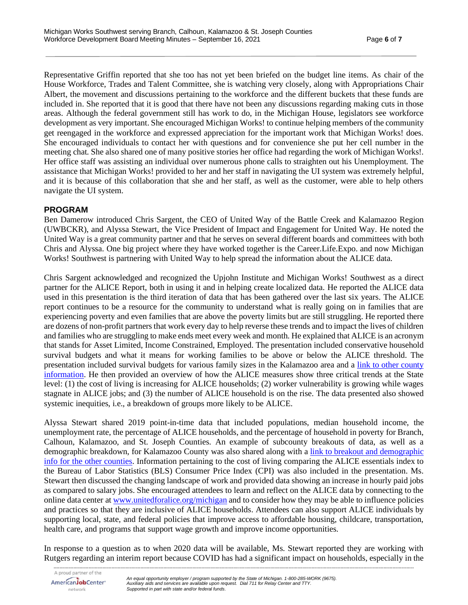Representative Griffin reported that she too has not yet been briefed on the budget line items. As chair of the House Workforce, Trades and Talent Committee, she is watching very closely, along with Appropriations Chair Albert, the movement and discussions pertaining to the workforce and the different buckets that these funds are included in. She reported that it is good that there have not been any discussions regarding making cuts in those areas. Although the federal government still has work to do, in the Michigan House, legislators see workforce development as very important. She encouraged Michigan Works! to continue helping members of the community get reengaged in the workforce and expressed appreciation for the important work that Michigan Works! does. She encouraged individuals to contact her with questions and for convenience she put her cell number in the meeting chat. She also shared one of many positive stories her office had regarding the work of Michigan Works!. Her office staff was assisting an individual over numerous phone calls to straighten out his Unemployment. The assistance that Michigan Works! provided to her and her staff in navigating the UI system was extremely helpful, and it is because of this collaboration that she and her staff, as well as the customer, were able to help others navigate the UI system.

### **PROGRAM**

Ben Damerow introduced Chris Sargent, the CEO of United Way of the Battle Creek and Kalamazoo Region (UWBCKR), and Alyssa Stewart, the Vice President of Impact and Engagement for United Way. He noted the United Way is a great community partner and that he serves on several different boards and committees with both Chris and Alyssa. One big project where they have worked together is the Career.Life.Expo. and now Michigan Works! Southwest is partnering with United Way to help spread the information about the ALICE data.

Chris Sargent acknowledged and recognized the Upjohn Institute and Michigan Works! Southwest as a direct partner for the ALICE Report, both in using it and in helping create localized data. He reported the ALICE data used in this presentation is the third iteration of data that has been gathered over the last six years. The ALICE report continues to be a resource for the community to understand what is really going on in families that are experiencing poverty and even families that are above the poverty limits but are still struggling. He reported there are dozens of non-profit partners that work every day to help reverse these trends and to impact the lives of children and families who are struggling to make ends meet every week and month. He explained that ALICE is an acronym that stands for Asset Limited, Income Constrained, Employed. The presentation included conservative household survival budgets and what it means for working families to be above or below the ALICE threshold. The presentation included survival budgets for various family sizes in the Kalamazoo area and a [link to other county](https://www.unitedforalice.org/county-profiles/michigan)  [information.](https://www.unitedforalice.org/county-profiles/michigan) He then provided an overview of how the ALICE measures show three critical trends at the State level: (1) the cost of living is increasing for ALICE households; (2) worker vulnerability is growing while wages stagnate in ALICE jobs; and (3) the number of ALICE household is on the rise. The data presented also showed systemic inequities, i.e., a breakdown of groups more likely to be ALICE.

Alyssa Stewart shared 2019 point-in-time data that included populations, median household income, the unemployment rate, the percentage of ALICE households, and the percentage of household in poverty for Branch, Calhoun, Kalamazoo, and St. Joseph Counties. An example of subcounty breakouts of data, as well as a demographic breakdown, for Kalamazoo County was also shared along with [a link to breakout and demographic](https://www.unitedforalice.org/county-profiles/michigan)  info [for the other counties.](https://www.unitedforalice.org/county-profiles/michigan) Information pertaining to the cost of living comparing the ALICE essentials index to the Bureau of Labor Statistics (BLS) Consumer Price Index (CPI) was also included in the presentation. Ms. Stewart then discussed the changing landscape of work and provided data showing an increase in hourly paid jobs as compared to salary jobs. She encouraged attendees to learn and reflect on the ALICE data by connecting to the online data center at [www.unitedforalice.org/michigan](http://www.unitedforalice.org/michigan) and to consider how they may be able to influence policies and practices so that they are inclusive of ALICE households. Attendees can also support ALICE individuals by supporting local, state, and federal policies that improve access to affordable housing, childcare, transportation, health care, and programs that support wage growth and improve income opportunities.

In response to a question as to when 2020 data will be available, Ms. Stewart reported they are working with Rutgers regarding an interim report because COVID has had a significant impact on households, especially in the